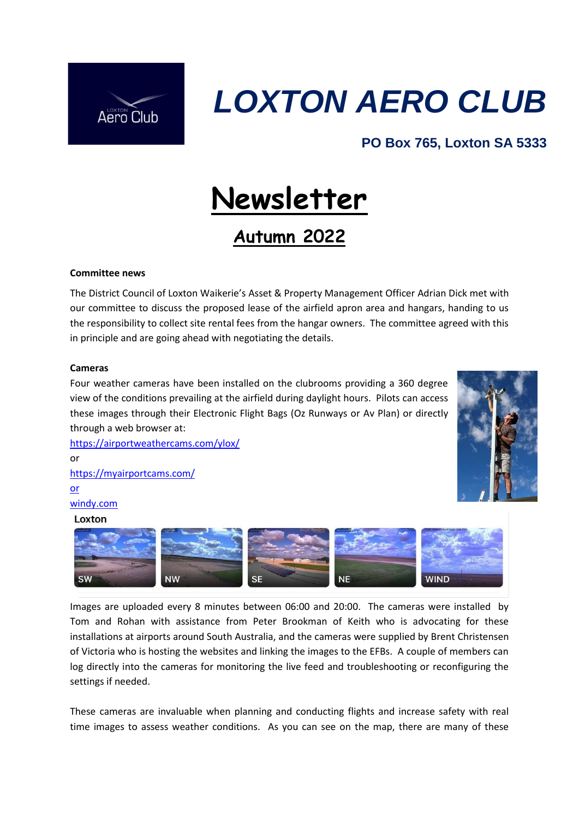

## *LOXTON AERO CLUB*

## **PO Box 765, Loxton SA 5333**

# **Newsletter**

## **Autumn 2022**

### **Committee news**

The District Council of Loxton Waikerie's Asset & Property Management Officer Adrian Dick met with our committee to discuss the proposed lease of the airfield apron area and hangars, handing to us the responsibility to collect site rental fees from the hangar owners. The committee agreed with this in principle and are going ahead with negotiating the details.

#### **Cameras**

Four weather cameras have been installed on the clubrooms providing a 360 degree view of the conditions prevailing at the airfield during daylight hours. Pilots can access these images through their Electronic Flight Bags (Oz Runways or Av Plan) or directly through a web browser at:



<https://airportweathercams.com/ylox/> or <https://myairportcams.com/> or windy.com

### Loxton



Images are uploaded every 8 minutes between 06:00 and 20:00. The cameras were installed by Tom and Rohan with assistance from Peter Brookman of Keith who is advocating for these installations at airports around South Australia, and the cameras were supplied by Brent Christensen of Victoria who is hosting the websites and linking the images to the EFBs. A couple of members can log directly into the cameras for monitoring the live feed and troubleshooting or reconfiguring the settings if needed.

These cameras are invaluable when planning and conducting flights and increase safety with real time images to assess weather conditions. As you can see on the map, there are many of these